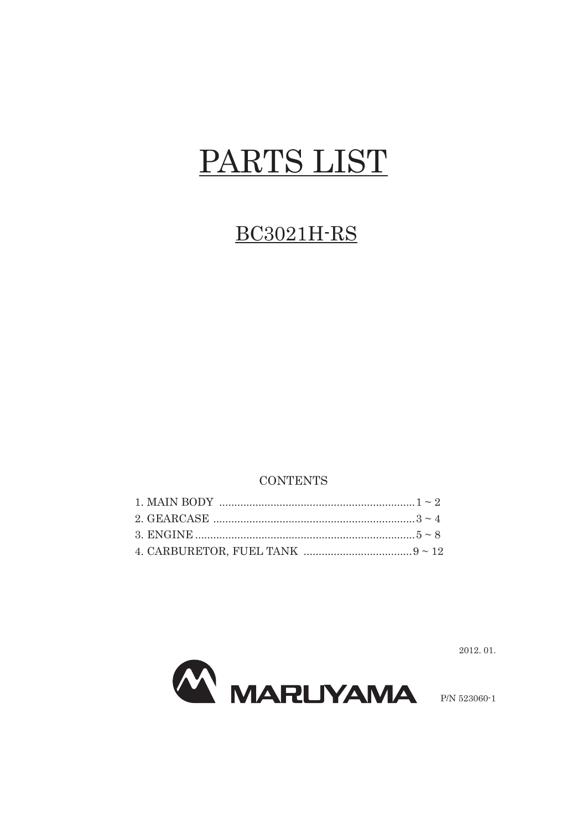## PARTS LIST

## **BC3021H-RS**

## **CONTENTS**



2012.01.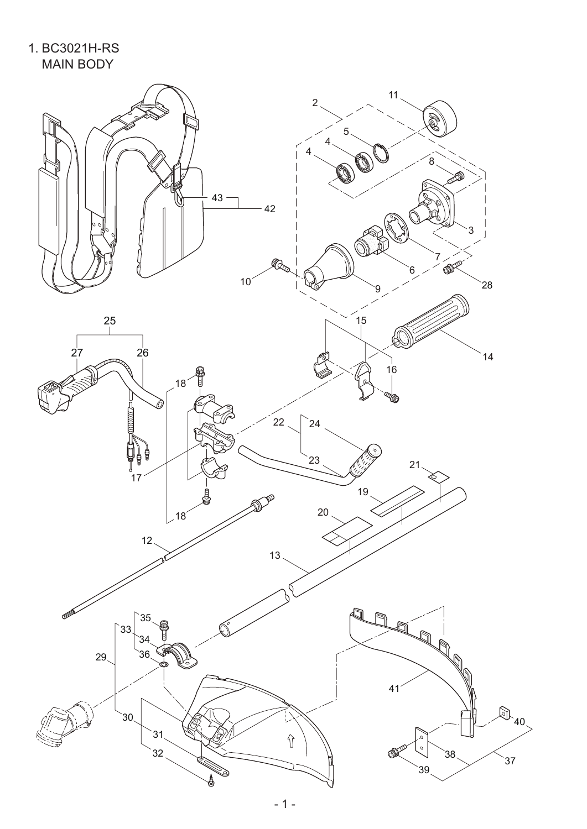1. BC3021H-RS MAIN BODY

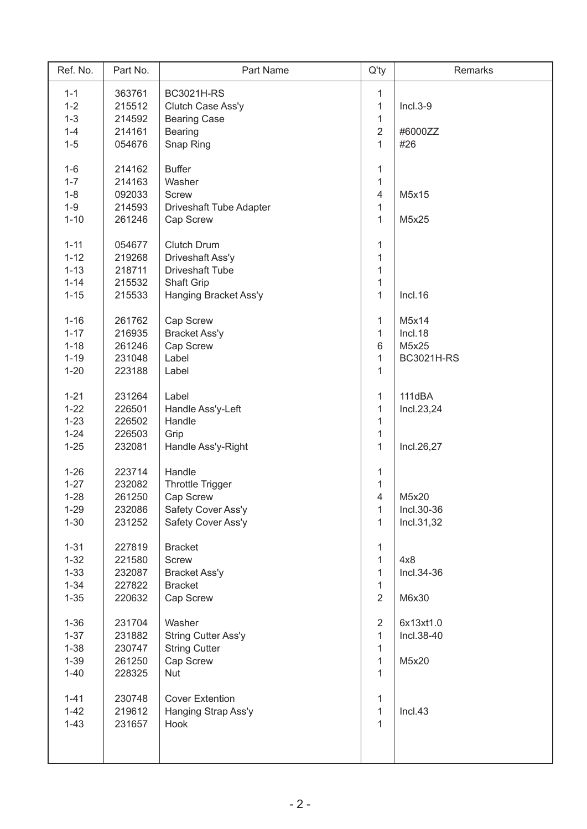| Ref. No. | Part No. | Part Name                  | $Q'$ ty                  | Remarks           |
|----------|----------|----------------------------|--------------------------|-------------------|
| $1 - 1$  | 363761   | <b>BC3021H-RS</b>          | 1                        |                   |
| $1 - 2$  | 215512   | Clutch Case Ass'y          | $\mathbf{1}$             | $Incl.3-9$        |
| $1 - 3$  | 214592   | <b>Bearing Case</b>        | $\mathbf{1}$             |                   |
| $1 - 4$  | 214161   | <b>Bearing</b>             | $\overline{2}$           | #6000ZZ           |
| $1 - 5$  | 054676   | Snap Ring                  | $\mathbf{1}$             | #26               |
|          |          |                            |                          |                   |
| $1 - 6$  | 214162   | <b>Buffer</b>              | 1                        |                   |
| $1 - 7$  | 214163   | Washer                     | $\mathbf{1}$             |                   |
| $1 - 8$  | 092033   | <b>Screw</b>               | $\overline{\mathcal{A}}$ | M5x15             |
| $1 - 9$  | 214593   | Driveshaft Tube Adapter    | $\mathbf{1}$             |                   |
| $1 - 10$ | 261246   | Cap Screw                  | $\mathbf{1}$             | M5x25             |
|          |          |                            |                          |                   |
| $1 - 11$ | 054677   | <b>Clutch Drum</b>         | 1                        |                   |
| $1 - 12$ | 219268   | Driveshaft Ass'y           | $\mathbf{1}$             |                   |
| $1 - 13$ | 218711   | <b>Driveshaft Tube</b>     | $\mathbf{1}$             |                   |
| $1 - 14$ | 215532   | Shaft Grip                 | 1                        |                   |
| $1 - 15$ | 215533   | Hanging Bracket Ass'y      | $\mathbf{1}$             | Incl.16           |
| $1 - 16$ | 261762   | Cap Screw                  | 1                        | M5x14             |
| $1 - 17$ | 216935   | <b>Bracket Ass'y</b>       | 1                        | Incl.18           |
| $1 - 18$ | 261246   | Cap Screw                  | $\,6$                    | M5x25             |
| $1 - 19$ | 231048   | Label                      | 1                        | <b>BC3021H-RS</b> |
| $1 - 20$ | 223188   | Label                      | $\mathbf{1}$             |                   |
|          |          |                            |                          |                   |
| $1 - 21$ | 231264   | Label                      | $\mathbf{1}$             | 111dBA            |
| $1 - 22$ | 226501   | Handle Ass'y-Left          | $\mathbf{1}$             | Incl.23,24        |
| $1 - 23$ | 226502   | Handle                     | $\mathbf{1}$             |                   |
| $1 - 24$ | 226503   | Grip                       | $\mathbf{1}$             |                   |
| $1 - 25$ | 232081   | Handle Ass'y-Right         | $\mathbf{1}$             | Incl.26,27        |
|          |          |                            |                          |                   |
| $1 - 26$ | 223714   | Handle                     | 1                        |                   |
| $1 - 27$ | 232082   | <b>Throttle Trigger</b>    | $\mathbf{1}$             |                   |
| $1 - 28$ | 261250   | Cap Screw                  | 4                        | M5x20             |
| $1 - 29$ | 232086   | Safety Cover Ass'y         | 1                        | Incl.30-36        |
| $1 - 30$ | 231252   | Safety Cover Ass'y         | $\mathbf{1}$             | Incl.31,32        |
| $1 - 31$ | 227819   | <b>Bracket</b>             | 1                        |                   |
| $1 - 32$ | 221580   | Screw                      | $\mathbf{1}$             | 4x8               |
| $1 - 33$ | 232087   | <b>Bracket Ass'y</b>       | 1                        | Incl.34-36        |
| $1 - 34$ | 227822   | <b>Bracket</b>             | $\mathbf{1}$             |                   |
| $1 - 35$ | 220632   | Cap Screw                  | $\overline{2}$           | M6x30             |
|          |          |                            |                          |                   |
| $1 - 36$ | 231704   | Washer                     | $\overline{2}$           | 6x13xt1.0         |
| $1 - 37$ | 231882   | <b>String Cutter Ass'y</b> | 1                        | Incl.38-40        |
| $1 - 38$ | 230747   | <b>String Cutter</b>       | 1                        |                   |
| $1 - 39$ | 261250   | Cap Screw                  | 1                        | M5x20             |
| $1 - 40$ | 228325   | <b>Nut</b>                 | 1                        |                   |
|          |          |                            |                          |                   |
| $1 - 41$ | 230748   | <b>Cover Extention</b>     | $\mathbf{1}$             |                   |
| $1 - 42$ | 219612   | Hanging Strap Ass'y        | $\mathbf{1}$             | Incl.43           |
| $1 - 43$ | 231657   | Hook                       | $\mathbf{1}$             |                   |
|          |          |                            |                          |                   |
|          |          |                            |                          |                   |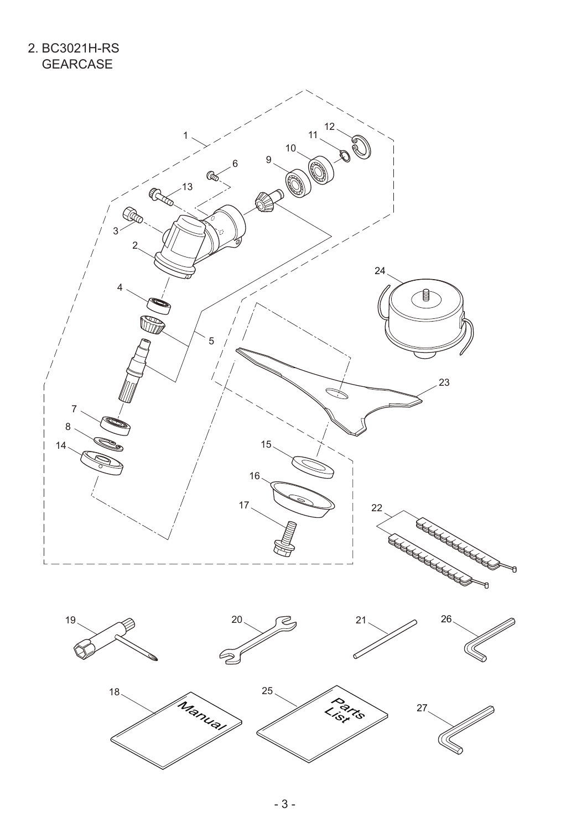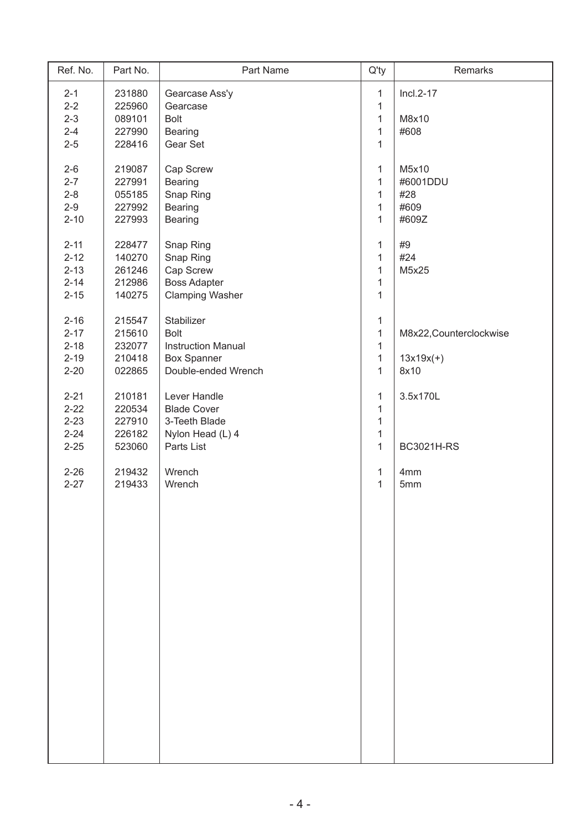| Ref. No. | Part No. | Part Name                 | $Q'$ ty      | Remarks                 |
|----------|----------|---------------------------|--------------|-------------------------|
| $2 - 1$  | 231880   | Gearcase Ass'y            | 1            | $Incl.2-17$             |
| $2 - 2$  | 225960   | Gearcase                  | $\mathbf 1$  |                         |
| $2 - 3$  | 089101   | <b>Bolt</b>               | $\mathbf 1$  | M8x10                   |
| $2 - 4$  | 227990   | <b>Bearing</b>            | $\mathbf 1$  | #608                    |
| $2 - 5$  | 228416   | Gear Set                  | $\mathbf{1}$ |                         |
|          |          |                           |              |                         |
| $2 - 6$  | 219087   | Cap Screw                 | 1            | M5x10                   |
| $2 - 7$  | 227991   | Bearing                   | $\mathbf{1}$ | #6001DDU                |
| $2 - 8$  | 055185   | Snap Ring                 | $\mathbf{1}$ | #28                     |
| $2 - 9$  | 227992   | <b>Bearing</b>            | $\mathbf 1$  | #609                    |
| $2 - 10$ | 227993   | <b>Bearing</b>            | $\mathbf{1}$ | #609Z                   |
|          |          |                           |              |                         |
| $2 - 11$ | 228477   | Snap Ring                 | $\mathbf{1}$ | #9                      |
| $2 - 12$ | 140270   | Snap Ring                 | $\mathbf{1}$ | #24                     |
| $2 - 13$ | 261246   | Cap Screw                 | 1            | M5x25                   |
| $2 - 14$ | 212986   | <b>Boss Adapter</b>       | $\mathbf{1}$ |                         |
| $2 - 15$ | 140275   | <b>Clamping Washer</b>    | $\mathbf{1}$ |                         |
|          |          |                           |              |                         |
| $2 - 16$ | 215547   | Stabilizer                | 1            |                         |
| $2 - 17$ | 215610   | <b>Bolt</b>               | $\mathbf 1$  | M8x22, Counterclockwise |
| $2 - 18$ | 232077   | <b>Instruction Manual</b> | $\mathbf 1$  |                         |
|          |          |                           |              |                         |
| $2 - 19$ | 210418   | <b>Box Spanner</b>        | $\mathbf{1}$ | $13x19x(+)$             |
| $2 - 20$ | 022865   | Double-ended Wrench       | $\mathbf{1}$ | 8x10                    |
|          |          |                           |              |                         |
| $2 - 21$ | 210181   | Lever Handle              | $\mathbf 1$  | 3.5x170L                |
| $2 - 22$ | 220534   | <b>Blade Cover</b>        | $\mathbf 1$  |                         |
| $2 - 23$ | 227910   | 3-Teeth Blade             | $\mathbf{1}$ |                         |
| $2 - 24$ | 226182   | Nylon Head (L) 4          | $\mathbf{1}$ |                         |
| $2 - 25$ | 523060   | Parts List                | $\mathbf{1}$ | <b>BC3021H-RS</b>       |
|          |          |                           |              |                         |
| $2 - 26$ | 219432   | Wrench                    | $\mathbf{1}$ | 4mm                     |
| $2 - 27$ | 219433   | Wrench                    | $\mathbf 1$  | 5mm                     |
|          |          |                           |              |                         |
|          |          |                           |              |                         |
|          |          |                           |              |                         |
|          |          |                           |              |                         |
|          |          |                           |              |                         |
|          |          |                           |              |                         |
|          |          |                           |              |                         |
|          |          |                           |              |                         |
|          |          |                           |              |                         |
|          |          |                           |              |                         |
|          |          |                           |              |                         |
|          |          |                           |              |                         |
|          |          |                           |              |                         |
|          |          |                           |              |                         |
|          |          |                           |              |                         |
|          |          |                           |              |                         |
|          |          |                           |              |                         |
|          |          |                           |              |                         |
|          |          |                           |              |                         |
|          |          |                           |              |                         |
|          |          |                           |              |                         |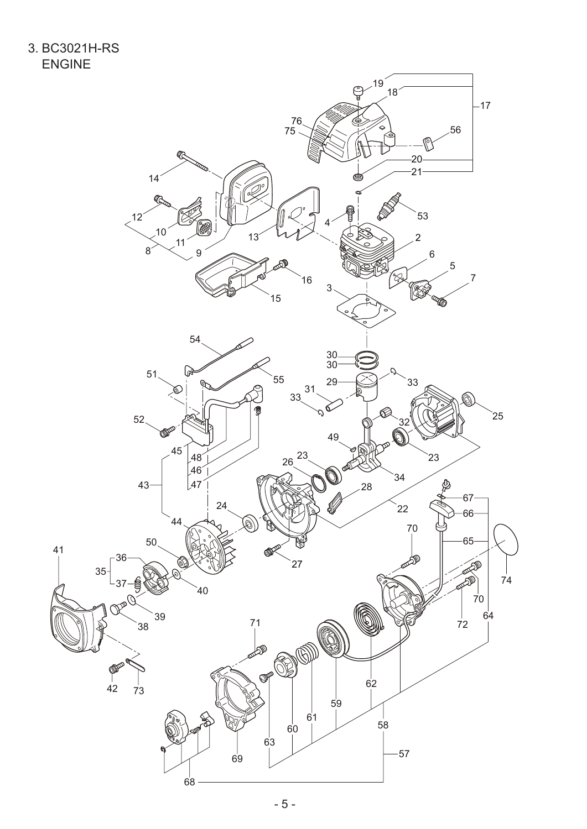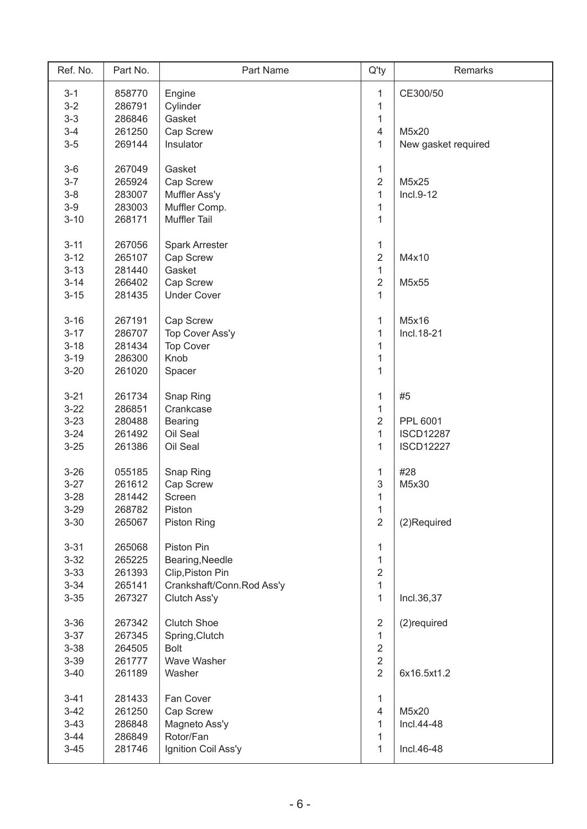| Ref. No. | Part No. | Part Name                 | $Q'$ ty                 | Remarks             |
|----------|----------|---------------------------|-------------------------|---------------------|
| $3 - 1$  | 858770   | Engine                    | 1                       | CE300/50            |
| $3 - 2$  | 286791   | Cylinder                  | 1                       |                     |
| $3 - 3$  | 286846   | Gasket                    | $\mathbf{1}$            |                     |
| $3 - 4$  | 261250   | Cap Screw                 | $\overline{\mathbf{4}}$ | M5x20               |
| $3-5$    | 269144   | Insulator                 | $\mathbf{1}$            | New gasket required |
|          |          |                           |                         |                     |
| $3-6$    | 267049   | Gasket                    | 1                       |                     |
| $3 - 7$  | 265924   | Cap Screw                 | $\overline{2}$          | M5x25               |
| $3 - 8$  | 283007   | Muffler Ass'y             | $\mathbf{1}$            | Incl.9-12           |
| $3-9$    | 283003   | Muffler Comp.             | $\mathbf{1}$            |                     |
| $3 - 10$ | 268171   | <b>Muffler Tail</b>       | $\mathbf{1}$            |                     |
|          |          |                           |                         |                     |
| $3 - 11$ | 267056   | <b>Spark Arrester</b>     | $\mathbf{1}$            |                     |
| $3 - 12$ | 265107   | Cap Screw                 | $\overline{c}$          | M4x10               |
| $3 - 13$ | 281440   | Gasket                    | $\mathbf{1}$            |                     |
| $3 - 14$ | 266402   | Cap Screw                 | $\overline{2}$          | M5x55               |
| $3 - 15$ | 281435   | <b>Under Cover</b>        | $\mathbf{1}$            |                     |
|          |          |                           |                         |                     |
| $3 - 16$ | 267191   | Cap Screw                 | 1                       | M5x16               |
| $3 - 17$ | 286707   | Top Cover Ass'y           | $\mathbf{1}$            | Incl. 18-21         |
| $3 - 18$ | 281434   | <b>Top Cover</b>          | $\mathbf{1}$            |                     |
| $3 - 19$ | 286300   | Knob                      | 1                       |                     |
| $3 - 20$ | 261020   | Spacer                    | $\mathbf{1}$            |                     |
|          |          |                           |                         |                     |
| $3 - 21$ | 261734   | Snap Ring                 | $\mathbf{1}$            | #5                  |
| $3 - 22$ | 286851   | Crankcase                 | $\mathbf{1}$            |                     |
| $3 - 23$ | 280488   | <b>Bearing</b>            | $\overline{2}$          | PPL 6001            |
| $3 - 24$ | 261492   | Oil Seal                  | $\mathbf{1}$            | <b>ISCD12287</b>    |
| $3 - 25$ | 261386   | Oil Seal                  | $\mathbf{1}$            | <b>ISCD12227</b>    |
|          |          |                           |                         |                     |
| $3 - 26$ | 055185   | Snap Ring                 | 1                       | #28                 |
| $3 - 27$ | 261612   | Cap Screw                 | 3                       | M5x30               |
| $3 - 28$ | 281442   | Screen                    | $\mathbf{1}$            |                     |
| $3 - 29$ | 268782   | Piston                    | 1                       |                     |
| $3 - 30$ | 265067   | Piston Ring               | $\overline{2}$          | (2)Required         |
|          |          |                           |                         |                     |
| $3 - 31$ | 265068   | Piston Pin                | 1                       |                     |
| $3 - 32$ | 265225   | Bearing, Needle           | $\mathbf{1}$            |                     |
| $3 - 33$ | 261393   | Clip, Piston Pin          | $\overline{2}$          |                     |
| $3 - 34$ | 265141   | Crankshaft/Conn.Rod Ass'y | $\mathbf{1}$            |                     |
| $3 - 35$ | 267327   | Clutch Ass'y              | $\mathbf{1}$            | Incl.36,37          |
|          |          |                           |                         |                     |
| $3 - 36$ | 267342   | <b>Clutch Shoe</b>        | $\sqrt{2}$              | (2) required        |
| $3 - 37$ | 267345   | Spring, Clutch            | $\mathbf{1}$            |                     |
| $3 - 38$ | 264505   | <b>Bolt</b>               | $\overline{2}$          |                     |
| $3 - 39$ | 261777   | Wave Washer               | $\overline{2}$          |                     |
| $3 - 40$ | 261189   | Washer                    | $\overline{2}$          | 6x16.5xt1.2         |
|          |          |                           |                         |                     |
| $3 - 41$ | 281433   | Fan Cover                 | $\mathbf{1}$            |                     |
| $3-42$   | 261250   | Cap Screw                 | $\overline{\mathbf{4}}$ | M5x20               |
| $3 - 43$ | 286848   | Magneto Ass'y             | 1                       | Incl.44-48          |
| $3 - 44$ | 286849   | Rotor/Fan                 | 1                       |                     |
| $3 - 45$ | 281746   | Ignition Coil Ass'y       | 1                       | Incl.46-48          |
|          |          |                           |                         |                     |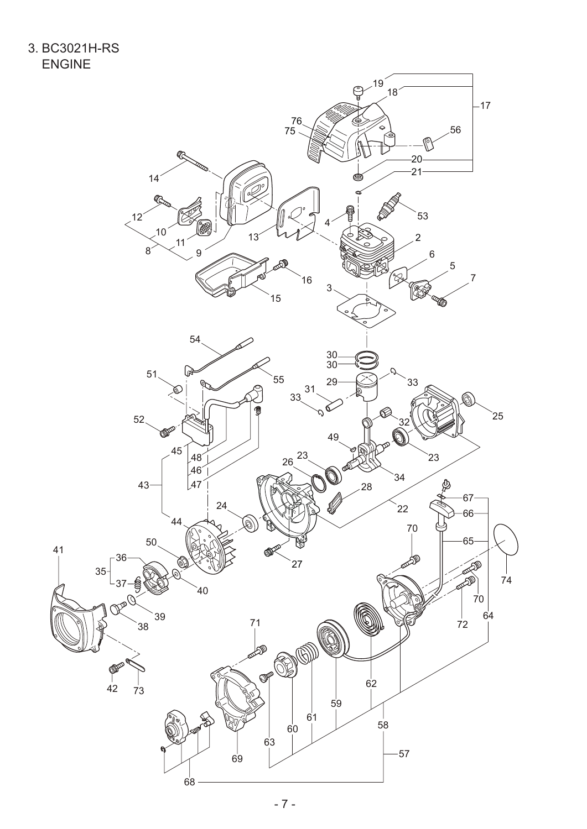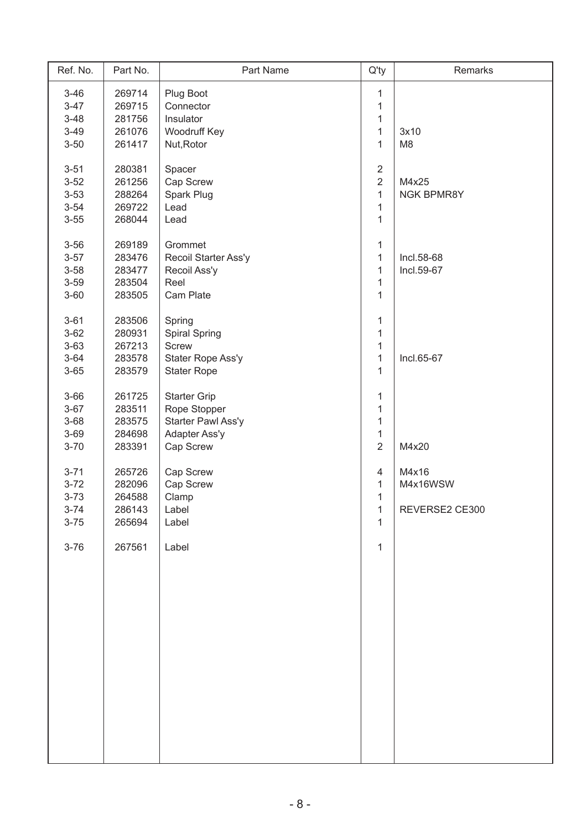| Ref. No. | Part No. | Part Name            | $Q'$ ty        | Remarks        |
|----------|----------|----------------------|----------------|----------------|
| $3 - 46$ | 269714   | Plug Boot            | 1              |                |
| $3 - 47$ | 269715   | Connector            | $\mathbf 1$    |                |
| $3 - 48$ | 281756   | Insulator            | $\mathbf 1$    |                |
| $3 - 49$ | 261076   | Woodruff Key         | $\mathbf 1$    | 3x10           |
| $3 - 50$ | 261417   | Nut, Rotor           | $\mathbf{1}$   | M <sub>8</sub> |
|          |          |                      |                |                |
| $3 - 51$ | 280381   | Spacer               | $\overline{2}$ |                |
| $3 - 52$ | 261256   | Cap Screw            | $\overline{2}$ | M4x25          |
| $3 - 53$ | 288264   | Spark Plug           | $\mathbf{1}$   | NGK BPMR8Y     |
| $3 - 54$ | 269722   | Lead                 | $\mathbf{1}$   |                |
| $3 - 55$ | 268044   | Lead                 | $\mathbf{1}$   |                |
| $3 - 56$ | 269189   | Grommet              | 1              |                |
| $3 - 57$ | 283476   | Recoil Starter Ass'y | 1              | Incl.58-68     |
| $3 - 58$ | 283477   | Recoil Ass'y         | 1              | Incl.59-67     |
| $3 - 59$ | 283504   | Reel                 | $\mathbf{1}$   |                |
|          |          |                      |                |                |
| $3 - 60$ | 283505   | Cam Plate            | $\mathbf{1}$   |                |
| $3 - 61$ | 283506   | Spring               | 1              |                |
| $3 - 62$ | 280931   | Spiral Spring        | $\mathbf{1}$   |                |
| $3 - 63$ | 267213   | <b>Screw</b>         | 1              |                |
| $3 - 64$ | 283578   | Stater Rope Ass'y    | 1              | Incl.65-67     |
| $3 - 65$ | 283579   | <b>Stater Rope</b>   | 1              |                |
|          |          |                      |                |                |
| $3 - 66$ | 261725   | <b>Starter Grip</b>  | $\mathbf{1}$   |                |
| $3 - 67$ | 283511   | Rope Stopper         | $\mathbf{1}$   |                |
| $3 - 68$ | 283575   | Starter Pawl Ass'y   | $\mathbf{1}$   |                |
| $3 - 69$ | 284698   | Adapter Ass'y        | $\mathbf{1}$   |                |
| $3 - 70$ | 283391   | Cap Screw            | $\overline{2}$ | M4x20          |
|          |          |                      |                |                |
| $3 - 71$ | 265726   | Cap Screw            | $\overline{4}$ | M4x16          |
| $3 - 72$ | 282096   | Cap Screw            | 1              | M4x16WSW       |
| $3 - 73$ | 264588   | Clamp                | $\mathbf{1}$   |                |
| $3 - 74$ | 286143   | Label                | 1              | REVERSE2 CE300 |
| $3 - 75$ | 265694   | Label                | 1              |                |
| $3 - 76$ | 267561   | Label                | 1              |                |
|          |          |                      |                |                |
|          |          |                      |                |                |
|          |          |                      |                |                |
|          |          |                      |                |                |
|          |          |                      |                |                |
|          |          |                      |                |                |
|          |          |                      |                |                |
|          |          |                      |                |                |
|          |          |                      |                |                |
|          |          |                      |                |                |
|          |          |                      |                |                |
|          |          |                      |                |                |
|          |          |                      |                |                |
|          |          |                      |                |                |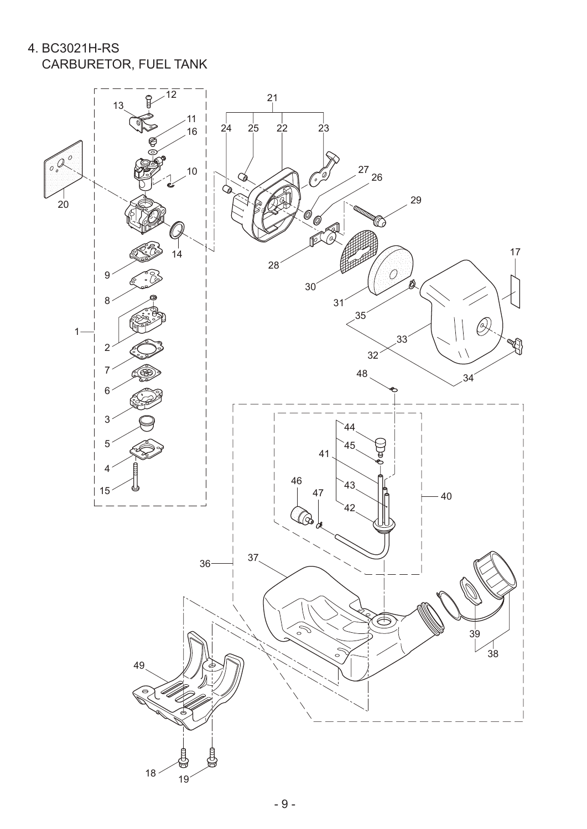4. BC3021H-RS CARBURETOR, FUEL TANK

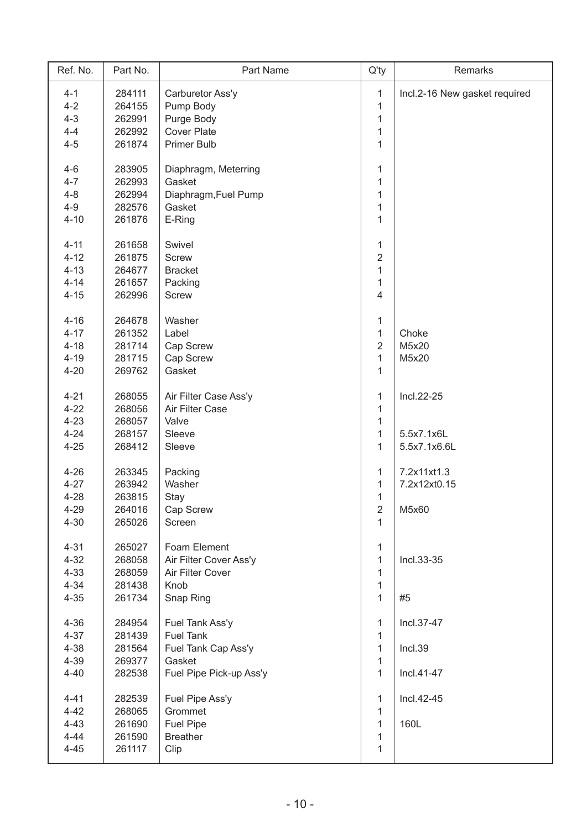| Ref. No. | Part No. | Part Name               | $Q'$ ty        | Remarks                       |
|----------|----------|-------------------------|----------------|-------------------------------|
| $4 - 1$  | 284111   | Carburetor Ass'y        | $\mathbf{1}$   | Incl.2-16 New gasket required |
| $4 - 2$  | 264155   | Pump Body               | $\mathbf{1}$   |                               |
| $4 - 3$  | 262991   | Purge Body              | $\mathbf{1}$   |                               |
| $4 - 4$  | 262992   | <b>Cover Plate</b>      | $\mathbf 1$    |                               |
| $4 - 5$  | 261874   | <b>Primer Bulb</b>      | 1              |                               |
|          |          |                         |                |                               |
| $4 - 6$  | 283905   | Diaphragm, Meterring    | $\mathbf{1}$   |                               |
| $4 - 7$  | 262993   | Gasket                  | 1              |                               |
| $4 - 8$  | 262994   | Diaphragm, Fuel Pump    | 1              |                               |
| $4 - 9$  | 282576   | Gasket                  | $\mathbf{1}$   |                               |
| $4 - 10$ | 261876   | E-Ring                  | $\mathbf{1}$   |                               |
|          |          |                         |                |                               |
| $4 - 11$ | 261658   | Swivel                  | $\mathbf{1}$   |                               |
| $4 - 12$ | 261875   | <b>Screw</b>            | $\overline{2}$ |                               |
| $4 - 13$ | 264677   | <b>Bracket</b>          | 1              |                               |
| $4 - 14$ | 261657   | Packing                 | $\mathbf{1}$   |                               |
| $4 - 15$ | 262996   | <b>Screw</b>            | $\overline{4}$ |                               |
|          |          |                         |                |                               |
| $4 - 16$ | 264678   | Washer                  | $\mathbf{1}$   |                               |
| $4 - 17$ | 261352   | Label                   | $\mathbf{1}$   | Choke                         |
| $4 - 18$ | 281714   | Cap Screw               | $\overline{2}$ | M5x20                         |
| $4 - 19$ | 281715   | Cap Screw               | $\mathbf{1}$   | M5x20                         |
| $4 - 20$ | 269762   | Gasket                  | $\mathbf{1}$   |                               |
|          |          |                         |                |                               |
| $4 - 21$ | 268055   | Air Filter Case Ass'y   | $\mathbf{1}$   | Incl.22-25                    |
| $4 - 22$ | 268056   | Air Filter Case         | $\mathbf{1}$   |                               |
| $4 - 23$ | 268057   | Valve                   | $\mathbf{1}$   |                               |
| $4 - 24$ | 268157   | Sleeve                  | $\mathbf{1}$   | 5.5x7.1x6L                    |
| $4 - 25$ | 268412   | Sleeve                  | $\mathbf{1}$   | 5.5x7.1x6.6L                  |
|          |          |                         |                |                               |
| $4 - 26$ | 263345   | Packing                 | $\mathbf{1}$   | 7.2x11xt1.3                   |
| $4 - 27$ | 263942   | Washer                  | $\mathbf{1}$   | 7.2x12xt0.15                  |
| $4 - 28$ | 263815   | Stay                    | $\mathbf{1}$   |                               |
| $4 - 29$ | 264016   | Cap Screw               | $\overline{2}$ | M5x60                         |
| $4 - 30$ | 265026   | Screen                  | $\mathbf{1}$   |                               |
|          |          |                         |                |                               |
| $4 - 31$ | 265027   | Foam Element            | 1              |                               |
| $4 - 32$ | 268058   | Air Filter Cover Ass'y  | $\mathbf{1}$   | Incl.33-35                    |
| $4 - 33$ | 268059   | Air Filter Cover        | 1              |                               |
| $4 - 34$ | 281438   | Knob                    | $\mathbf{1}$   |                               |
| $4 - 35$ | 261734   | Snap Ring               | $\mathbf{1}$   | #5                            |
|          |          |                         |                |                               |
| $4 - 36$ | 284954   | Fuel Tank Ass'y         | $\mathbf{1}$   | Incl.37-47                    |
| $4 - 37$ | 281439   | <b>Fuel Tank</b>        | 1              |                               |
| $4 - 38$ | 281564   | Fuel Tank Cap Ass'y     | 1              | Incl.39                       |
| $4 - 39$ | 269377   | Gasket                  | 1              |                               |
| $4 - 40$ | 282538   | Fuel Pipe Pick-up Ass'y | $\mathbf{1}$   | Incl.41-47                    |
|          |          |                         |                |                               |
| $4 - 41$ | 282539   | Fuel Pipe Ass'y         | $\mathbf{1}$   | Incl.42-45                    |
| $4 - 42$ | 268065   | Grommet                 | $\mathbf{1}$   |                               |
| $4 - 43$ | 261690   | <b>Fuel Pipe</b>        | $\mathbf{1}$   | 160L                          |
| $4 - 44$ | 261590   | <b>Breather</b>         | 1              |                               |
| $4 - 45$ | 261117   | Clip                    | 1              |                               |
|          |          |                         |                |                               |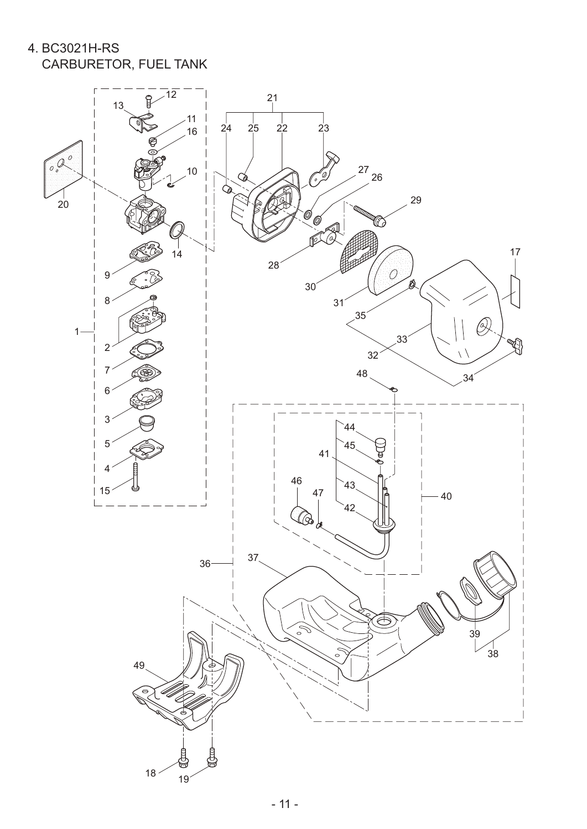4. BC3021H-RS CARBURETOR, FUEL TANK